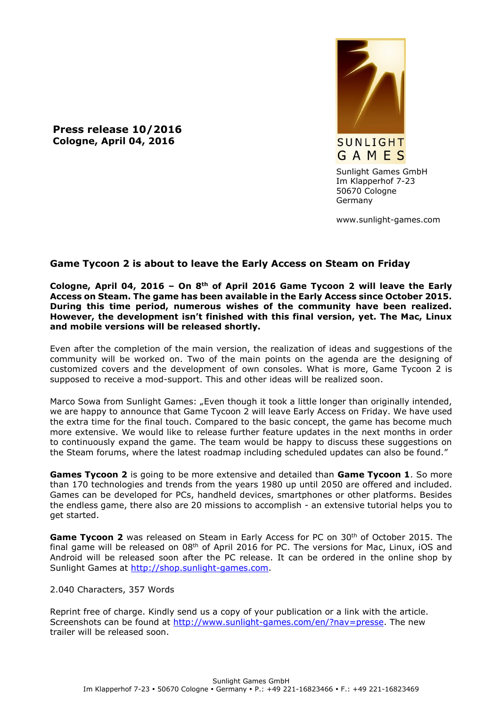**Press release 10/2016 Cologne, April 04, 2016**



Sunlight Games GmbH Im Klapperhof 7-23 50670 Cologne Germany

www.sunlight-games.com

## **Game Tycoon 2 is about to leave the Early Access on Steam on Friday**

**Cologne, April 04, 2016 – On 8th of April 2016 Game Tycoon 2 will leave the Early Access on Steam. The game has been available in the Early Access since October 2015. During this time period, numerous wishes of the community have been realized. However, the development isn't finished with this final version, yet. The Mac, Linux and mobile versions will be released shortly.**

Even after the completion of the main version, the realization of ideas and suggestions of the community will be worked on. Two of the main points on the agenda are the designing of customized covers and the development of own consoles. What is more, Game Tycoon 2 is supposed to receive a mod-support. This and other ideas will be realized soon.

Marco Sowa from Sunlight Games: "Even though it took a little longer than originally intended, we are happy to announce that Game Tycoon 2 will leave Early Access on Friday. We have used the extra time for the final touch. Compared to the basic concept, the game has become much more extensive. We would like to release further feature updates in the next months in order to continuously expand the game. The team would be happy to discuss these suggestions on the Steam forums, where the latest roadmap including scheduled updates can also be found."

**Games Tycoon 2** is going to be more extensive and detailed than **Game Tycoon 1**. So more than 170 technologies and trends from the years 1980 up until 2050 are offered and included. Games can be developed for PCs, handheld devices, smartphones or other platforms. Besides the endless game, there also are 20 missions to accomplish - an extensive tutorial helps you to get started.

Game Tycoon 2 was released on Steam in Early Access for PC on 30<sup>th</sup> of October 2015. The final game will be released on  $08<sup>th</sup>$  of April 2016 for PC. The versions for Mac, Linux, iOS and Android will be released soon after the PC release. It can be ordered in the online shop by Sunlight Games at [http://shop.sunlight-games.com.](http://shop.sunlight-games.com/)

## 2.040 Characters, 357 Words

Reprint free of charge. Kindly send us a copy of your publication or a link with the article. Screenshots can be found at [http://www.sunlight-games.com/en/?nav=presse.](http://www.sunlight-games.com/en/?nav=presse) The new trailer will be released soon.